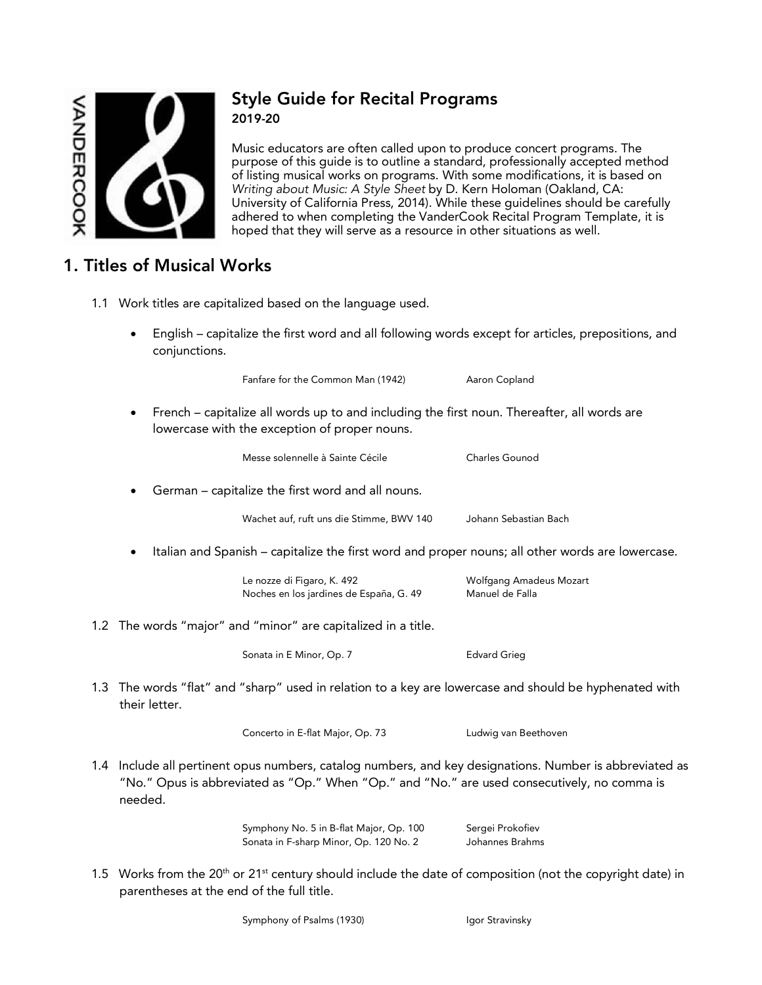

### Style Guide for Recital Programs 2019-20

Music educators are often called upon to produce concert programs. The purpose of this guide is to outline a standard, professionally accepted method of listing musical works on programs. With some modifications, it is based on *Writing about Music: A Style Sheet* by D. Kern Holoman (Oakland, CA: University of California Press, 2014). While these guidelines should be carefully adhered to when completing the VanderCook Recital Program Template, it is hoped that they will serve as a resource in other situations as well.

# 1. Titles of Musical Works

- 1.1 Work titles are capitalized based on the language used.
	- English capitalize the first word and all following words except for articles, prepositions, and conjunctions.

Fanfare for the Common Man (1942) Aaron Copland

- 
- French capitalize all words up to and including the first noun. Thereafter, all words are lowercase with the exception of proper nouns.

Messe solennelle à Sainte Cécile<br>
Charles Gounod • German – capitalize the first word and all nouns. Wachet auf, ruft uns die Stimme, BWV 140 Johann Sebastian Bach • Italian and Spanish – capitalize the first word and proper nouns; all other words are lowercase. Le nozze di Figaro, K. 492 Molfgang Amadeus Mozart Noches en los jardines de España, G. 49 Manuel de Falla 1.2 The words "major" and "minor" are capitalized in a title. Sonata in E Minor, Op. 7 Edvard Grieg

 1.3 The words "flat" and "sharp" used in relation to a key are lowercase and should be hyphenated with their letter.

Concerto in E-flat Major, Op. 73 Ludwig van Beethoven

 1.4 Include all pertinent opus numbers, catalog numbers, and key designations. Number is abbreviated as "No." Opus is abbreviated as "Op." When "Op." and "No." are used consecutively, no comma is needed.

> Symphony No. 5 in B-flat Major, Op. 100 Sergei Prokofiev Sonata in F-sharp Minor, Op. 120 No. 2 Johannes Brahms

- 
- 1.5 Works from the 20<sup>th</sup> or 21<sup>st</sup> century should include the date of composition (not the copyright date) in parentheses at the end of the full title.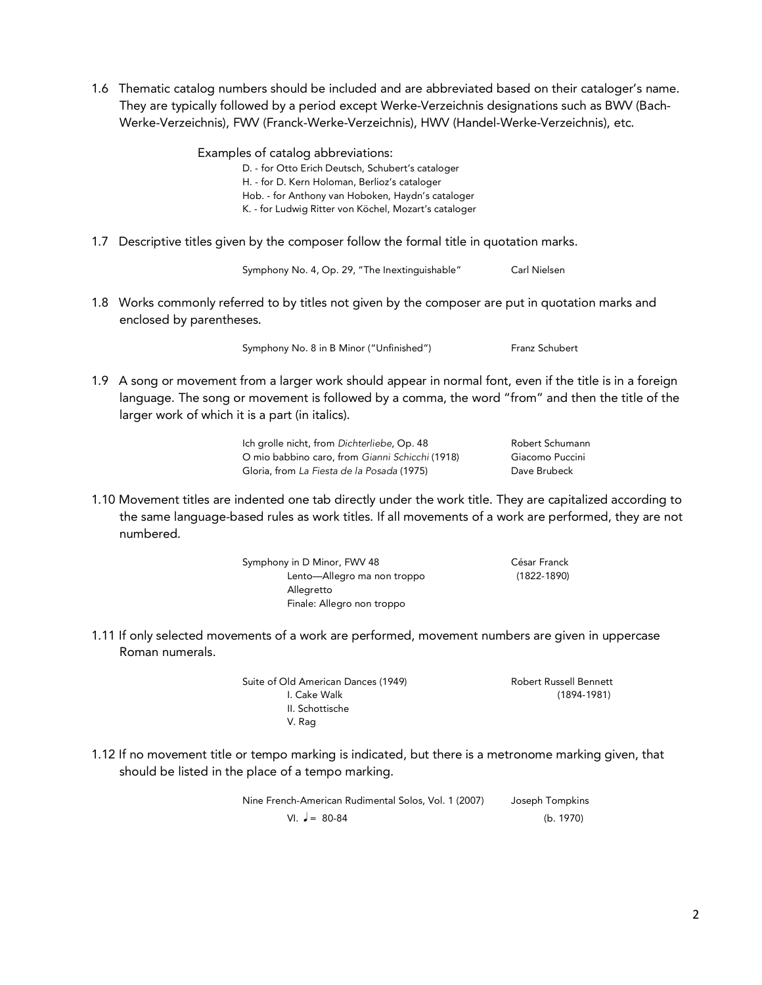1.6 Thematic catalog numbers should be included and are abbreviated based on their cataloger's name. They are typically followed by a period except Werke-Verzeichnis designations such as BWV (Bach-Werke-Verzeichnis), FWV (Franck-Werke-Verzeichnis), HWV (Handel-Werke-Verzeichnis), etc.

> Examples of catalog abbreviations: D. - for Otto Erich Deutsch, Schubert's cataloger H. - for D. Kern Holoman, Berlioz's cataloger Hob. - for Anthony van Hoboken, Haydn's cataloger K. - for Ludwig Ritter von Köchel, Mozart's cataloger

1.7 Descriptive titles given by the composer follow the formal title in quotation marks.

Symphony No. 4, Op. 29, "The Inextinguishable" Carl Nielsen

 1.8 Works commonly referred to by titles not given by the composer are put in quotation marks and enclosed by parentheses.

Symphony No. 8 in B Minor ("Unfinished") Franz Schubert

- 
- 1.9 A song or movement from a larger work should appear in normal font, even if the title is in a foreign language. The song or movement is followed by a comma, the word "from" and then the title of the larger work of which it is a part (in italics).

Ich grolle nicht, from *Dichterliebe*, Op. 48 Robert Schumann O mio babbino caro, from *Gianni Schicchi* (1918) Giacomo Puccini Gloria, from *La Fiesta de la Posada* (1975) Dave Brubeck

 1.10 Movement titles are indented one tab directly under the work title. They are capitalized according to the same language-based rules as work titles. If all movements of a work are performed, they are not numbered.

> Symphony in D Minor, FWV 48 César Franck Lento—Allegro ma non troppo (1822-1890) Allegretto Finale: Allegro non troppo

 1.11 If only selected movements of a work are performed, movement numbers are given in uppercase Roman numerals.

> Suite of Old American Dances (1949) **Robert Russell Bennett** I. Cake Walk (1894-1981) II. Schottische V. Rag

 1.12 If no movement title or tempo marking is indicated, but there is a metronome marking given, that should be listed in the place of a tempo marking.

> Nine French-American Rudimental Solos, Vol. 1 (2007) Joseph Tompkins  $VI. \quad J = 80-84$  (b. 1970)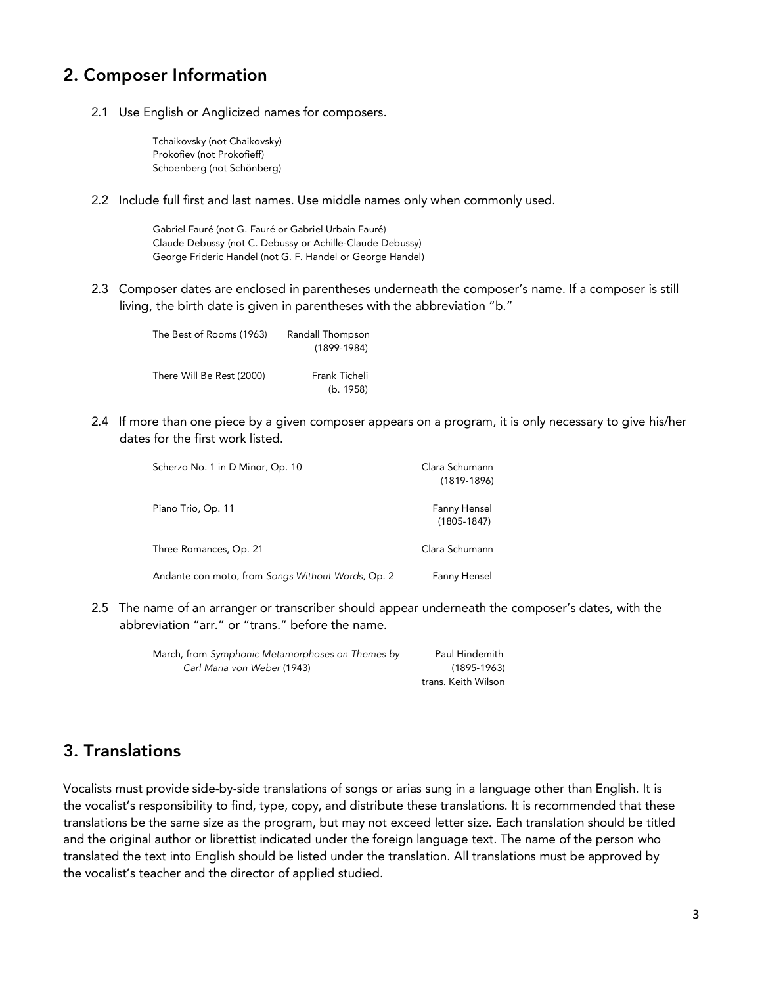## 2. Composer Information

2.1 Use English or Anglicized names for composers.

Tchaikovsky (not Chaikovsky) Prokofiev (not Prokofieff) Schoenberg (not Schönberg)

2.2 Include full first and last names. Use middle names only when commonly used.

Gabriel Fauré (not G. Fauré or Gabriel Urbain Fauré) Claude Debussy (not C. Debussy or Achille-Claude Debussy) George Frideric Handel (not G. F. Handel or George Handel)

 2.3 Composer dates are enclosed in parentheses underneath the composer's name. If a composer is still living, the birth date is given in parentheses with the abbreviation "b."

| The Best of Rooms (1963)  | Randall Thompson |
|---------------------------|------------------|
|                           | $(1899-1984)$    |
|                           |                  |
| There Will Be Rest (2000) | Frank Ticheli    |
|                           | (b. 1958)        |

 2.4 If more than one piece by a given composer appears on a program, it is only necessary to give his/her dates for the first work listed.

| Scherzo No. 1 in D Minor, Op. 10                  | Clara Schumann<br>$(1819-1896)$ |
|---------------------------------------------------|---------------------------------|
| Piano Trio, Op. 11                                | Fanny Hensel<br>$(1805 - 1847)$ |
| Three Romances, Op. 21                            | Clara Schumann                  |
| Andante con moto, from Songs Without Words, Op. 2 | Fanny Hensel                    |

 2.5 The name of an arranger or transcriber should appear underneath the composer's dates, with the abbreviation "arr." or "trans." before the name.

| March, from Symphonic Metamorphoses on Themes by | Paul Hindemith      |
|--------------------------------------------------|---------------------|
| Carl Maria von Weber (1943)                      | $(1895 - 1963)$     |
|                                                  | trans. Keith Wilson |

## 3. Translations

Vocalists must provide side-by-side translations of songs or arias sung in a language other than English. It is the vocalist's responsibility to find, type, copy, and distribute these translations. It is recommended that these translations be the same size as the program, but may not exceed letter size. Each translation should be titled and the original author or librettist indicated under the foreign language text. The name of the person who translated the text into English should be listed under the translation. All translations must be approved by the vocalist's teacher and the director of applied studied.